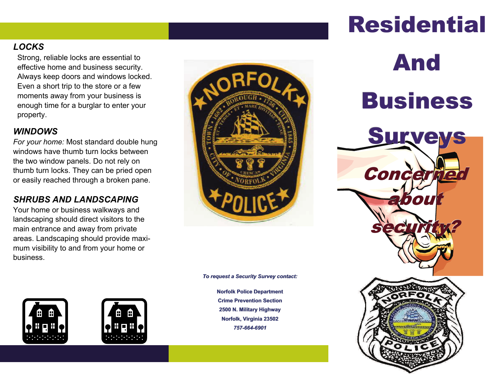### *LOCKS*

Strong, reliable locks are essential to effective home and business security. Always keep doors and windows locked. Even a short trip to the store or a few moments away from your business is enough time for a burglar to enter your property.

### *WINDOWS*

*For your home:* Most standard double hung windows have thumb turn locks between the two window panels. Do not rely on thumb turn locks. They can be pried open or easily reached through a broken pane.

### *SHRUBS AND LANDSCAPING*

Your home or business walkways and landscaping should direct visitors to the main entrance and away from private areas. Landscaping should provide maximum visibility to and from your home or business.







*To request a Security Survey contact:*

**Norfolk Police Department Crime Prevention Section 2500 N. Military Highway Norfolk, Virginia 23502** *757-664-6901*

## **Residential**

# And**Business**